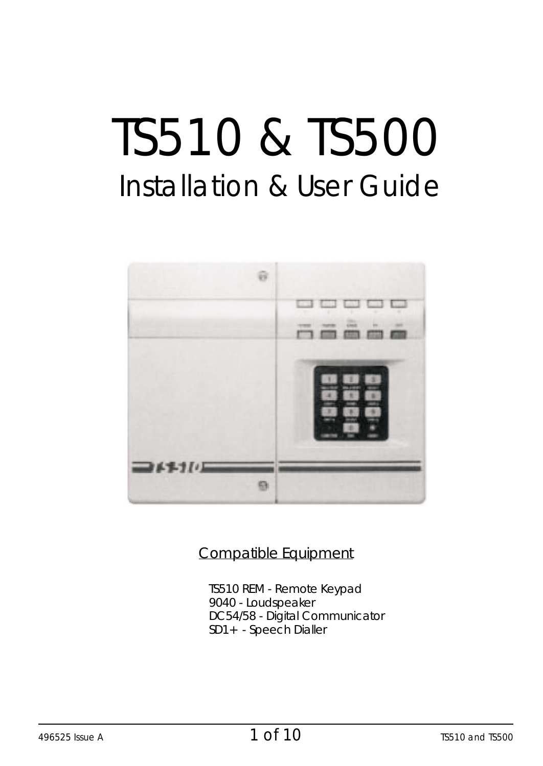# TS510 & TS500 Installation & User Guide



#### Compatible Equipment

TS510 REM - Remote Keypad 9040 - Loudspeaker DC54/58 - Digital Communicator SD1+ - Speech Dialler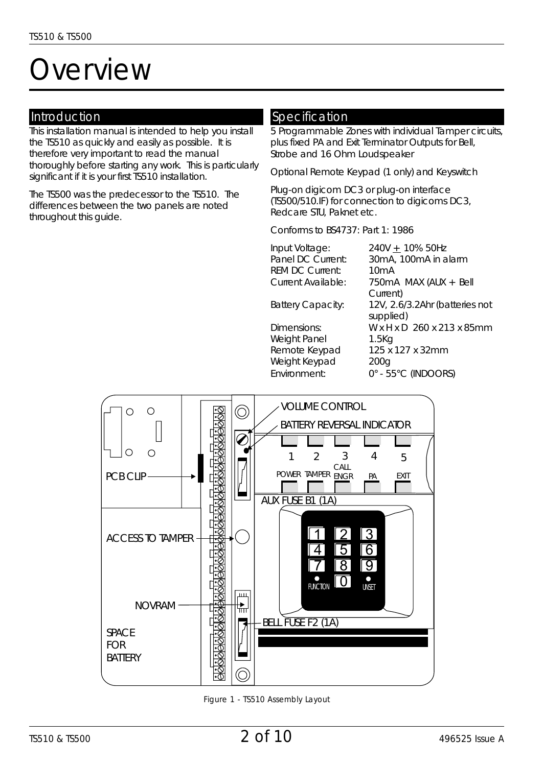## *Overview*

#### Introduction

This installation manual is intended to help you install the TS510 as quickly and easily as possible. It is therefore very important to read the manual thoroughly *before* starting any work. This is particularly significant if it is your first TS510 installation.

The TS500 was the predecessor to the TS510. The differences between the two panels are noted throughout this guide.

#### Specification

5 Programmable Zones with individual Tamper circuits, plus fixed PA and Exit Terminator Outputs for Bell, Strobe and 16 Ohm Loudspeaker

Optional Remote Keypad (1 only) and Keyswitch

Plug-on digicom DC3 or plug-on interface (TS500/510.IF) for connection to digicoms DC3, Redcare STU, Paknet etc.

Conforms to BS4737: Part 1: 1986

| Input Voltage:           | 240V + 10% 50Hz                |
|--------------------------|--------------------------------|
| Panel DC Current:        | 30mA, 100mA in alarm           |
| <b>REM DC Current:</b>   | 10 <sub>m</sub> A              |
| Current Available:       | 750mA MAX (AUX + Bell          |
|                          | Current)                       |
| <b>Battery Capacity:</b> | 12V, 2.6/3.2Ahr (batteries not |
|                          | supplied)                      |
| Dimensions:              | W x H x D 260 x 213 x 85mm     |
| Weight Panel             | 1.5K <sub>G</sub>              |
| Remote Keypad            | 125 x 127 x 32mm               |
|                          |                                |

Weight Keypad 200g Environment: 0° - 55 C (INDOORS)



*Figure 1 - TS510 Assembly Layout*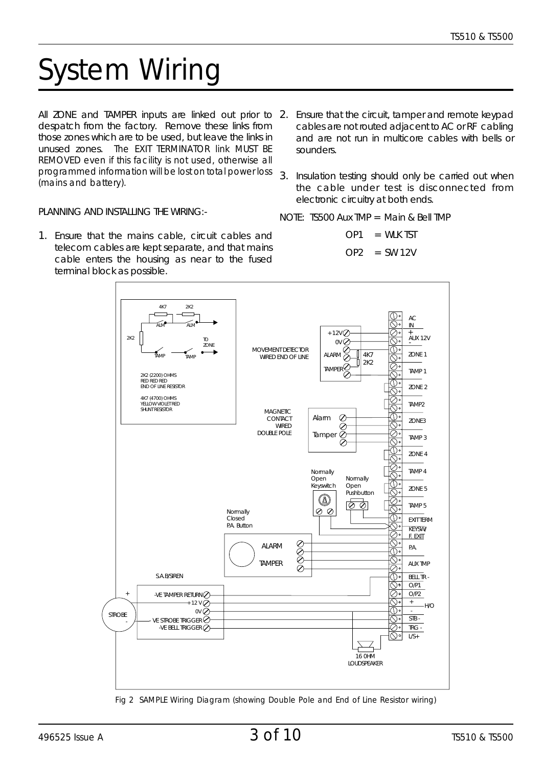## *System Wiring*

All ZONE and TAMPER inputs are linked out prior to 2. Ensure that the circuit, tamper and remote keypad despatch from the factory. Remove these links from those zones which are to be used, but leave the links in unused zones. The EXIT TERMINATOR link MUST BE REMOVED even if this facility is not used, otherwise all programmed information will be lost on total power loss (mains and battery).

- cables are not routed adjacent to AC or RF cabling and are not run in multicore cables with bells or sounders.
- 3. Insulation testing should only be carried out when the cable under test is disconnected from electronic circuitry at both ends.

PLANNING AND INSTALLING THE WIRING:-

1. Ensure that the mains cable, circuit cables and telecom cables are kept separate, and that mains cable enters the housing as near to the fused terminal block as possible.

NOTE: TS500 Aux TMP = Main & Bell TMP

 $OP1 = WI K TST$ 

$$
OP2 = SW 12V
$$



*Fig 2 SAMPLE Wiring Diagram (showing Double Pole and End of Line Resistor wiring)*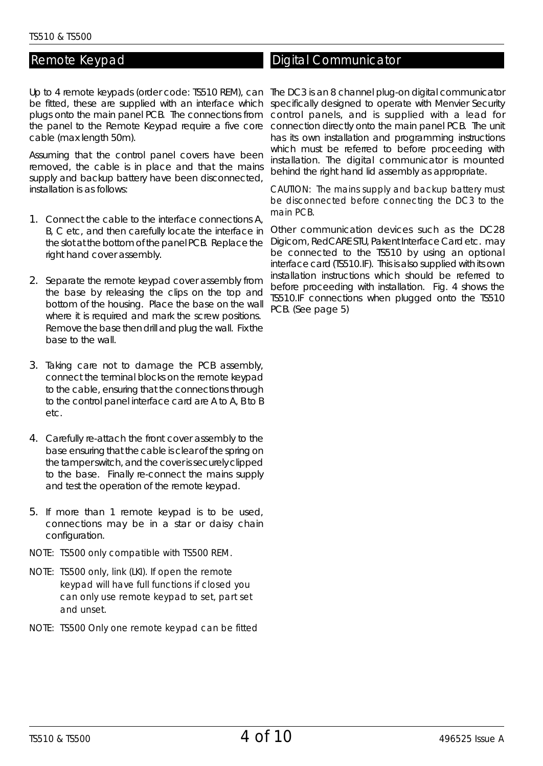#### Remote Keypad

Up to 4 remote keypads (order code: TS510 REM), can The DC3 is an 8 channel plug-on digital communicator be fitted, these are supplied with an interface which specifically designed to operate with Menvier Security plugs onto the main panel PCB. The connections from control panels, and is supplied with a lead for the panel to the Remote Keypad require a five core cable (max length 50m).

Assuming that the control panel covers have been removed, the cable is in place and that the mains supply and backup battery have been disconnected, installation is as follows:

- 1. Connect the cable to the interface connections A, B, C etc, and then carefully locate the interface in the slot at the bottom of the panel PCB. Replace the right hand cover assembly.
- 2. Separate the remote keypad cover assembly from the base by releasing the clips on the top and bottom of the housing. Place the base on the wall where it is required and mark the screw positions. Remove the base then drill and plug the wall. Fix the base to the wall.
- 3. Taking care not to damage the PCB assembly, connect the terminal blocks on the remote keypad to the cable, ensuring that the connections through to the control panel interface card are A to A, B to B etc.
- 4. Carefully re-attach the front cover assembly to the base ensuring that the cable is clear of the spring on the tamper switch, and the cover is securely clipped to the base. Finally re-connect the mains supply and test the operation of the remote keypad.
- 5. If more than 1 remote keypad is to be used, connections may be in a star or daisy chain configuration.
- NOTE: *TS500 only compatible with TS500 REM.*
- NOTE: *TS500 only, link (LKI). If open the remote keypad will have full functions if closed you can only use remote keypad to set, part set and unset.*
- NOTE: *TS500 Only one remote keypad can be fitted*

#### Digital Communicator

connection directly onto the main panel PCB. The unit has its own installation and programming instructions which must be referred to before proceeding with installation. The digital communicator is mounted behind the right hand lid assembly as appropriate.

#### CAUTION: The mains supply and backup battery must be disconnected before connecting the DC3 to the main PCB.

Other communication devices such as the DC28 Digicom, RedCARE STU, Pakent Interface Card etc. may be connected to the TS510 by using an optional interface card (TS510.IF). This is also supplied with its own installation instructions which should be referred to before proceeding with installation. Fig. 4 shows the TS510.IF connections when plugged onto the TS510 PCB. (See page 5)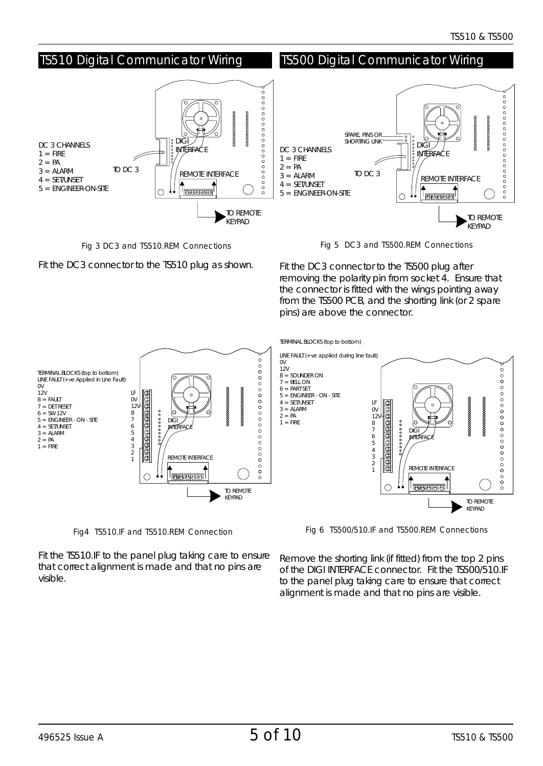

*Fig 3 DC3 and TS510.REM Connections*

Fit the DC3 connector to the TS510 plug as shown.

*Fig 5 DC3 and TS500.REM Connections*

Fit the DC3 connector to the TS500 plug after removing the polarity pin from socket 4. Ensure that the connector is fitted with the wings pointing away from the TS500 PCB, and the shorting link (or 2 spare pins) are above the connector.



*Fig4 TS510.IF and TS510.REM Connection*

*Fig 6 TS500/510.IF and TS500.REM Connections*

Fit the TS510.IF to the panel plug taking care to ensure that correct alignment is made and that no pins are visible.

Remove the shorting link (if fitted) from the top 2 pins of the DIGI INTERFACE connector. Fit the TS500/510.IF to the panel plug taking care to ensure that correct alignment is made and that no pins are visible.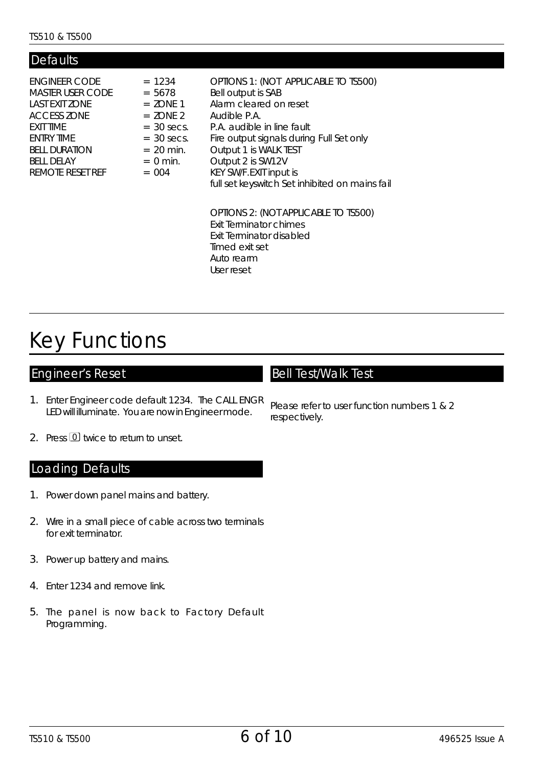| Defaults                                                                                                                                                                     |                                                                                                                           |                                                                                                                                                                                                                                                                                                          |
|------------------------------------------------------------------------------------------------------------------------------------------------------------------------------|---------------------------------------------------------------------------------------------------------------------------|----------------------------------------------------------------------------------------------------------------------------------------------------------------------------------------------------------------------------------------------------------------------------------------------------------|
| <b>ENGINEER CODE</b><br>MASTER USER CODE<br>LAST EXIT ZONE<br><b>ACCESS ZONE</b><br>EXIT TIME<br><b>FNTRY TIME</b><br><b>BELL DURATION</b><br>BELL DELAY<br>REMOTE RESET REE | $= 1234$<br>$= 5678$<br>$= 70NF 1$<br>$= 70NF$ 2<br>$=$ 30 secs.<br>$=$ 30 secs.<br>$= 20$ min.<br>$= 0$ min.<br>$= 0.04$ | OPTIONS 1: (NOT APPLICABLE TO TS500)<br>Bell output is SAB<br>Alarm cleared on reset<br>Audible P.A.<br>P.A. audible in line fault<br>Fire output signals during Full Set only<br>Output 1 is WALK TEST<br>Output 2 is SW12V<br>KEY SW/F.EXIT input is<br>full set keyswitch Set inhibited on mains fail |
|                                                                                                                                                                              |                                                                                                                           | $\bigcap \Pi \cap \Pi$                                                                                                                                                                                                                                                                                   |

OPTIONS 2: (NOT APPLICABLE TO TS500) Exit Terminator chimes Exit Terminator disabled Timed exit set Auto rearm User reset

## Key Functions

#### Engineer's Reset

- 1. Enter Engineer code default 1234. The CALL ENGR LED will illuminate. You are now in Engineer mode.
- 2. Press 0 twice to return to unset.

#### Loading Defaults

- 1. Power down panel mains and battery.
- 2. Wire in a small piece of cable across two terminals for exit terminator.
- 3. Power up battery and mains.
- 4. Enter 1234 and remove link.
- 5. The panel is now back to Factory Default Programming.

#### Bell Test/Walk Test

Please refer to user function numbers 1 & 2 respectively.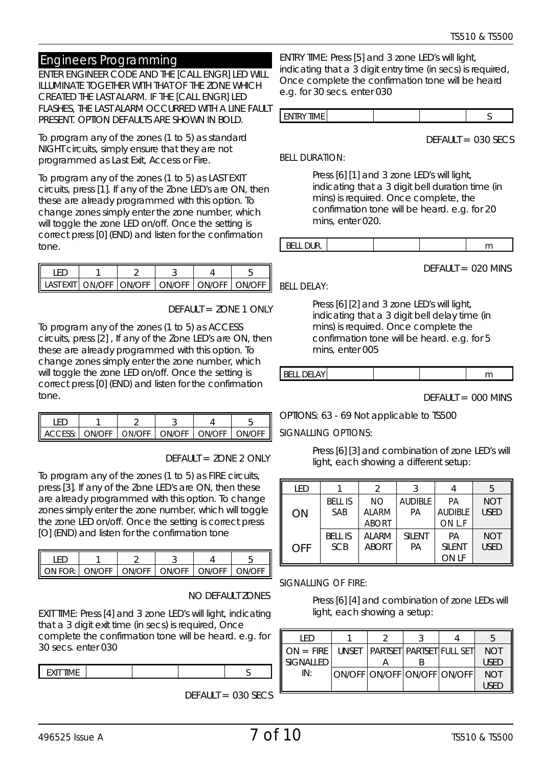#### Engineers Programming

ENTER ENGINEER CODE AND THE [CALL ENGR] LED WILL ILLUMINATE TOGETHER WITH THAT OF THE ZONE WHICH CREATED THE LAST ALARM. IF THE [CALL ENGR] LED FLASHES, THE LAST ALARM OCCURRED WITH A LINE FAULT PRESENT. OPTION DEFAULTS ARE SHOWN IN BOLD.

To program any of the zones (1 to 5) as standard NIGHT circuits, simply ensure that they are not programmed as Last Exit, Access or Fire.

To program any of the zones (1 to 5) as LAST EXIT circuits, press [1]. If any of the Zone LED's are ON, then these are already programmed with this option. To change zones simply enter the zone number, which will toggle the zone LED on/off. Once the setting is correct press [0] (END) and listen for the confirmation tone.

|  | UNIOEE LONIOEE L | ONIOFE <sup>1</sup> | $\bigcap N I/\bigcap \mathbb{C}$ | <b>INI/OEE</b> |
|--|------------------|---------------------|----------------------------------|----------------|

 $DFFAUIT = 7ONF 1 ONIY$ 

To program any of the zones (1 to 5) as ACCESS circuits, press [2] , If any of the Zone LED's are ON, then these are already programmed with this option. To change zones simply enter the zone number, which will toggle the zone LED on/off. Once the setting is correct press [0] (END) and listen for the confirmation tone.

| ACCESS:   ON/OFF   ON/OFF   ON/OFF   ON/OFF   ON/OFF |  |  |  |
|------------------------------------------------------|--|--|--|

DEFAULT = ZONE 2 ONLY

To program any of the zones (1 to 5) as FIRE circuits, press [3]. If any of the Zone LED's are ON, then these are already programmed with this option. To change zones simply enter the zone number, which will toggle the zone LED on/off. Once the setting is correct press [O] (END) and listen for the confirmation tone

| $\sim$ ON EQP: $\sim$ |  | ON/OFF LON/OFF LON/OFF LON/OFF L | $OMI$ OEE |
|-----------------------|--|----------------------------------|-----------|

#### NO DEFAULT ZONES

EXIT TIME: Press [4] and 3 zone LED's will light, indicating that a 3 digit exit time (in secs) is required, Once complete the confirmation tone will be heard. e.g. for 30 secs. enter 030

| EVIT TIME<br><br>- - - - - |  |  |
|----------------------------|--|--|
|                            |  |  |

 $DFFAIL = 030$  SECS

ENTRY TIME: Press [5] and 3 zone LED's will light, indicating that a 3 digit entry time (in secs) is required, Once complete the confirmation tone will be heard e.g. for 30 secs. enter 030

| <b>ITDV TIME.</b><br>IF |  |
|-------------------------|--|
|-------------------------|--|

 $DEFAULT = 030$  SECS

#### BELL DURATION:

Press [6] [1] and 3 zone LED's will light, indicating that a 3 digit bell duration time (in mins) is required. Once complete, the confirmation tone will be heard. e.g. for 20 mins, enter 020.

|  | $\sim$ $\sim$<br>DEEL DUIN |  |  |  |  |
|--|----------------------------|--|--|--|--|
|--|----------------------------|--|--|--|--|

 $DFFAIII = 020$  MINS

BELL DELAY:

Press [6] [2] and 3 zone LED's will light, indicating that a 3 digit bell delay time (in mins) is required. Once complete the confirmation tone will be heard. e.g. for 5 mins, enter 005

| . .<br>--- | _ _ _ _ _<br>-n |  |  |  |  |
|------------|-----------------|--|--|--|--|
|------------|-----------------|--|--|--|--|

 $DEFAULT = 000$  MINS

OPTIONS: 63 - 69 Not applicable to TS500

#### SIGNALLING OPTIONS:

Press [6] [3] and combination of zone LED's will light, each showing a different setup:

| I FD |                |              |                |                | 5           |
|------|----------------|--------------|----------------|----------------|-------------|
|      | <b>BELL IS</b> | NO.          | <b>AUDIBLE</b> | PA             | <b>NOT</b>  |
| ON   | SAB            | <b>ALARM</b> | PA             | <b>AUDIBLE</b> | <b>USED</b> |
|      |                | <b>ABORT</b> |                | ON L.F         |             |
|      | BFII IS        | AI ARM       | SII FNT        | PA             | <b>NOT</b>  |
| OFF  | <b>SCB</b>     | <b>ABORT</b> | PA             | <b>SII FNT</b> | <b>USED</b> |
|      |                |              |                | ON LF          |             |

#### SIGNALLING OF FIRE:

Press [6] [4] and combination of zone LEDs will light, each showing a setup:

| I F D              |                                |  |             |
|--------------------|--------------------------------|--|-------------|
| $I\!I$ $ON = FIRF$ | UNSET PARTSET PARTSET FULL SET |  | <b>NOT</b>  |
| ll signall ed      |                                |  | <b>USED</b> |
| IN·                | ON/OFF LON/OFF LON/OFF LON/OFF |  | <b>NOT</b>  |
|                    |                                |  | <b>USED</b> |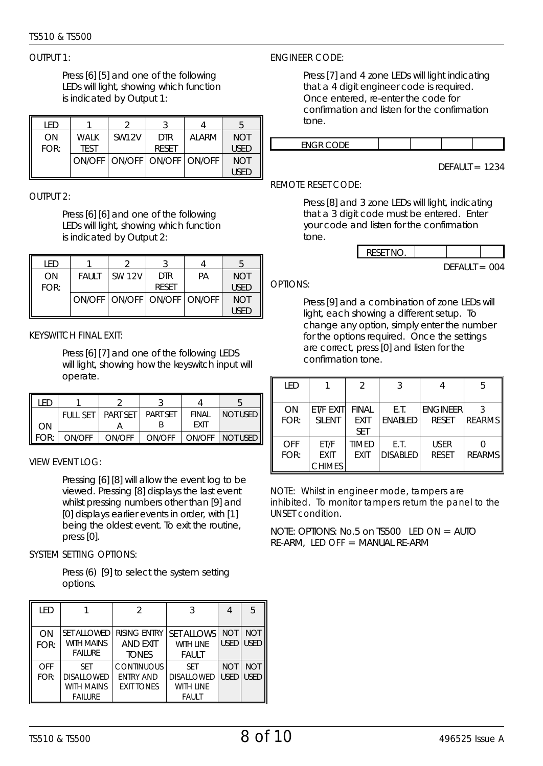#### *TS510 & TS500*

#### $O$ UTPUT 1:

Press [6] [5] and one of the following LEDs will light, showing which function is indicated by Output 1:

| I FD |             |              |                                |        |             |
|------|-------------|--------------|--------------------------------|--------|-------------|
| ON   | <b>WALK</b> | <b>SW12V</b> | <b>DTR</b>                     | AI ARM | <b>NOT</b>  |
| FOR: | <b>TEST</b> |              | <b>RESET</b>                   |        | <b>USED</b> |
|      |             |              | ON/OFF LON/OFF LON/OFF LON/OFF |        | <b>NOT</b>  |
|      |             |              |                                |        | <b>USED</b> |

OUTPUT 2:

Press [6] [6] and one of the following LEDs will light, showing which function is indicated by Output 2:

| I FD |              |               |                                |    | 5           |
|------|--------------|---------------|--------------------------------|----|-------------|
| ON   | <b>FAULT</b> | <b>SW 12V</b> | <b>DTR</b>                     | PA | <b>NOT</b>  |
| FOR: |              |               | <b>RESET</b>                   |    | <b>USED</b> |
|      |              |               | ON/OFF LON/OFF LON/OFF LON/OFF |    | <b>NOT</b>  |
|      |              |               |                                |    | <b>USED</b> |

#### KEYSWITCH FINAL EXIT:

Press [6] [7] and one of the following LEDS will light, showing how the keyswitch input will operate.

| F <sub>D</sub> |                 |                 |                 |                      |             |
|----------------|-----------------|-----------------|-----------------|----------------------|-------------|
| ON             | <b>FULL SET</b> | <b>PART SFT</b> | <b>PART SET</b> | FINAL<br><b>FXIT</b> | NOT USED II |
| FOR:           | ON/OFF          | ON/OFF          | ON/OFF          | ON/OFF               | NOT USED II |

#### VIEW EVENT LOG:

Pressing [6] [8] will allow the event log to be viewed. Pressing [8] displays the last event whilst pressing numbers other than [9] and [0] displays earlier events in order, with [1] being the oldest event. To exit the routine, press<sub>[0]</sub>.

#### SYSTEM SETTING OPTIONS:

Press (6) [9] to select the system setting options.

| LED         |                                                                        |                                                            |                                                              |                           | 5                         |
|-------------|------------------------------------------------------------------------|------------------------------------------------------------|--------------------------------------------------------------|---------------------------|---------------------------|
| ON<br>FOR:  | <b>SFT ALLOWED</b><br>WITH MAINS<br><b>FAILURE</b>                     | <b>RISING ENTRY</b><br><b>AND FXIT</b><br><b>TONES</b>     | <b>SFT ALLOWS</b><br>WITH LINF<br>FAULT                      | <b>NOT</b><br><b>USED</b> | <b>NOT</b><br><b>USED</b> |
| OFF<br>FOR: | <b>SET</b><br><b>DISALLOWED</b><br><b>WITH MAINS</b><br><b>FAILURE</b> | <b>CONTINUOUS</b><br><b>ENTRY AND</b><br><b>EXIT TONES</b> | <b>SFT</b><br><b>DISALLOWED</b><br>WITH LINE<br><b>FAULT</b> | <b>NOT</b><br><b>USED</b> | <b>NOT</b><br><b>USED</b> |

#### ENGINEER CODE:

Press [7] and 4 zone LEDs will light indicating that a 4 digit engineer code is required. Once entered, re-enter the code for confirmation and listen for the confirmation tone.



 $DFFAIL = 1234$ 

#### REMOTE RESET CODE:

Press [8] and 3 zone LEDs will light, indicating that a 3 digit code must be entered. Enter your code and listen for the confirmation tone.



#### OPTIONS:

Press [9] and a combination of zone LEDs will light, each showing a different setup. To change any option, simply enter the number for the options required. Once the settings are correct, press [0] and listen for the confirmation tone.

| <b>IFD</b>  |                                             | $\mathcal{P}$                             | 3                       |                                 | 5             |
|-------------|---------------------------------------------|-------------------------------------------|-------------------------|---------------------------------|---------------|
| ON<br>FOR:  | FT/F FXIT<br>SII FNT                        | <b>FINAI</b><br><b>FXIT</b><br><b>SFT</b> | F T<br><b>FNABI FD</b>  | <b>FNGINFFR</b><br><b>RESET</b> | <b>REARMS</b> |
| OFF<br>FOR: | <b>ET/F</b><br><b>EXIT</b><br><b>CHIMES</b> | <b>TIMED</b><br><b>FXIT</b>               | E.T.<br><b>DISABLED</b> | <b>USER</b><br><b>RESET</b>     | <b>REARMS</b> |

NOTE: Whilst in engineer mode, tampers are inhibited. To monitor tampers return the panel to the UNSET condition.

NOTE: OPTIONS: No.5 on TS500 LED ON = AUTO RE-ARM, LED OFF = MANUAL RE-ARM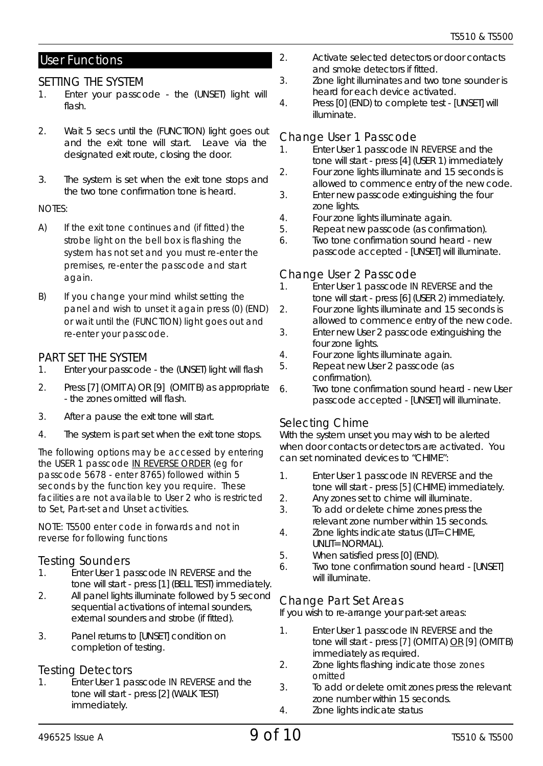#### User Functions

#### *SETTING THE SYSTEM*

- 1. Enter your passcode the (UNSET) light will flash.
- 2. Wait 5 secs until the (FUNCTION) light goes out and the exit tone will start. Leave via the designated exit route, closing the door.
- 3. The system is set when the exit tone stops and the two tone confirmation tone is heard.

#### NOTES:

- A) If the exit tone continues and (if fitted) the strobe light on the bell box is flashing the system has not set and you must re-enter the premises, re-enter the passcode and start again.
- B) If you change your mind whilst setting the panel and wish to unset it again press (0) (END) or wait until the (FUNCTION) light goes out and re-enter your passcode.

#### *PART SET THE SYSTEM*

- 1. Enter your passcode the (UNSET) light will flash
- 2. Press [7] (OMIT A) OR [9] (OMIT B) as appropriate - the zones omitted will flash.
- 3. After a pause the exit tone will start.
- 4. The system is part set when the exit tone stops.

The following options may be accessed by entering the USER 1 passcode IN REVERSE ORDER (eg for passcode 5678 - enter 8765) followed within 5 seconds by the function key you require. These facilities are not available to User 2 who is restricted to Set, Part-set and Unset activities.

NOTE: TS500 enter code in forwards and not in reverse for following functions

### *Testing Sounders*

- 1. Enter User 1 passcode IN REVERSE and the tone will start - press [1] (BELL TEST) immediately.
- 2. All panel lights illuminate followed by 5 second sequential activations of internal sounders, external sounders and strobe (if fitted).
- 3. Panel returns to [UNSET] condition on completion of testing.

#### *Testing Detectors*

1. Enter User 1 passcode IN REVERSE and the tone will start - press [2] (WALK TEST) immediately.

- 2. Activate selected detectors or door contacts and smoke detectors if fitted.
- 3. Zone light illuminates and two tone sounder is heard for each device activated.
- 4. Press [0] (END) to complete test [UNSET] will illuminate.

### *Change User 1 Passcode*

- **Enter User 1 passcode IN REVERSE and the** tone will start - press [4] (USER 1) immediately
- 2. Four zone lights illuminate and 15 seconds is allowed to commence entry of the new code.
- 3. Enter new passcode extinguishing the four zone lights.
- 4. Four zone lights illuminate again.<br>5. Repeat new passcode (as confir-
- Repeat new passcode (as confirmation).
- 6. Two tone confirmation sound heard new passcode accepted - [UNSET] will illuminate.

#### *Change User 2 Passcode*

- 1. Enter User 1 passcode IN REVERSE and the tone will start - press [6] (USER 2) immediately.
- 2. Four zone lights illuminate and 15 seconds is allowed to commence entry of the new code.
- 3. Enter new User 2 passcode extinguishing the four zone lights.
- 4. Four zone lights illuminate again.
- 5. Repeat new User 2 passcode (as confirmation).
- 6. Two tone confirmation sound heard new User passcode accepted - [UNSET] will illuminate.

#### *Selecting Chime*

With the system unset you may wish to be alerted when door contacts or detectors are activated. You can set nominated devices to "CHIME":

- 1. Enter User 1 passcode IN REVERSE and the tone will start - press [5] (CHIME) immediately.
- 2. Any zones set to chime will illuminate.
- 3. To add or delete chime zones press the relevant zone number within 15 seconds.
- 4. Zone lights indicate status (LIT=CHIME, UNLIT=NORMAL).
- 5. When satisfied press [0] (END).
- 6. Two tone confirmation sound heard [UNSET] will illuminate.

#### *Change Part Set Areas*

If you wish to re-arrange your part-set areas:

- 1. Enter User 1 passcode IN REVERSE and the tone will start - press [7] (OMIT A) OR [9] (OMIT B) immediately as required.
- 2. Zone lights flashing indicate those zones omitted
- 3. To add or delete omit zones press the relevant zone number within 15 seconds.
- 4. Zone lights indicate status